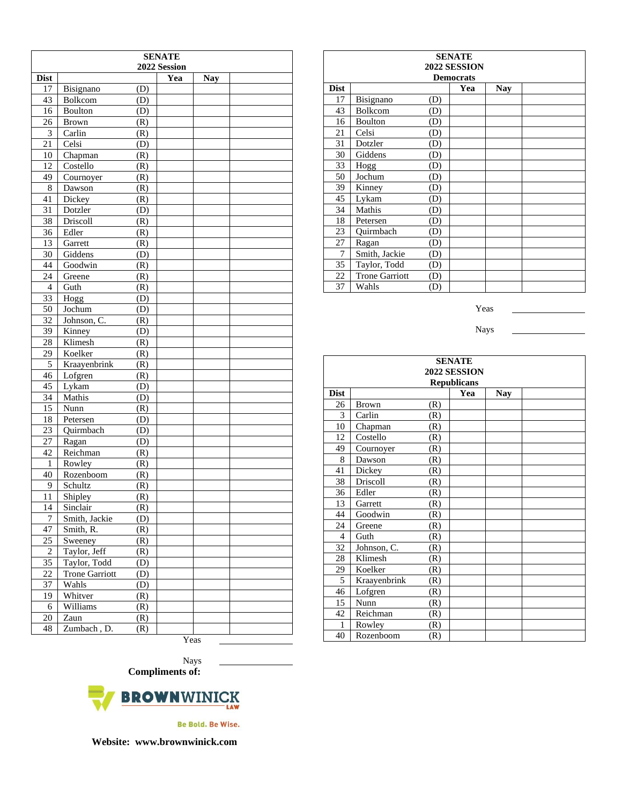| <b>SENATE</b>   |                       |            |      |            |  |  |
|-----------------|-----------------------|------------|------|------------|--|--|
|                 | 2022 Session          |            |      |            |  |  |
| <b>Dist</b>     |                       |            | Yea  | <b>Nay</b> |  |  |
| 17              | Bisignano             | (D)        |      |            |  |  |
| 43              | Bolkcom               | (D)        |      |            |  |  |
| 16              | Boulton               | (D)        |      |            |  |  |
| 26              | Brown                 | (R)        |      |            |  |  |
| 3               | Carlin                | (R)        |      |            |  |  |
| 21              | Celsi                 | (D)        |      |            |  |  |
| 10              | Chapman               | (R)        |      |            |  |  |
| 12<br>49        | Costello              | (R)        |      |            |  |  |
| 8               | Cournoyer             | (R)        |      |            |  |  |
| 41              | Dawson<br>Dickey      | (R)<br>(R) |      |            |  |  |
| 31              | Dotzler               |            |      |            |  |  |
| 38              | Driscoll              | (D)        |      |            |  |  |
| 36              | Edler                 | (R)        |      |            |  |  |
| 13              |                       | (R)<br>(R) |      |            |  |  |
| $\overline{30}$ | Garrett<br>Giddens    |            |      |            |  |  |
| 44              | Goodwin               | (D)        |      |            |  |  |
| 24              | Greene                | (R)<br>(R) |      |            |  |  |
| $\overline{4}$  | Guth                  | (R)        |      |            |  |  |
| $\overline{33}$ | Hogg                  | (D)        |      |            |  |  |
| 50              | Jochum                |            |      |            |  |  |
| 32              | Johnson, C.           | (D)<br>(R) |      |            |  |  |
| 39              | Kinney                |            |      |            |  |  |
| 28              | Klimesh               | (D)        |      |            |  |  |
| 29              | Koelker               | (R)<br>(R) |      |            |  |  |
| 5               | Kraayenbrink          | (R)        |      |            |  |  |
| 46              | Lofgren               | (R)        |      |            |  |  |
| 45              | Lykam                 | (D)        |      |            |  |  |
| 34              | Mathis                | (D)        |      |            |  |  |
| 15              | Nunn                  | (R)        |      |            |  |  |
| 18              | Petersen              | (D)        |      |            |  |  |
| 23              | Quirmbach             | (D)        |      |            |  |  |
| 27              | Ragan                 | (D)        |      |            |  |  |
| 42              | Reichman              | (R)        |      |            |  |  |
| 1               | Rowley                | (R)        |      |            |  |  |
| 40              | Rozenboom             | (R)        |      |            |  |  |
| 9               | Schultz               | (R)        |      |            |  |  |
| 11              | Shipley               | (R)        |      |            |  |  |
| 14              | Sinclair              | (R)        |      |            |  |  |
| 7               | Smith, Jackie         | (D)        |      |            |  |  |
| 47              | Smith, R.             | (R)        |      |            |  |  |
| 25              | Sweeney               | (R)        |      |            |  |  |
| $\overline{c}$  | Taylor, Jeff          | (R)        |      |            |  |  |
| 35              | Taylor, Todd          | (D)        |      |            |  |  |
| 22              | <b>Trone Garriott</b> | (D)        |      |            |  |  |
| 37              | Wahls                 | (D)        |      |            |  |  |
| 19              | Whitver               | (R)        |      |            |  |  |
| 6               | Williams              | (R)        |      |            |  |  |
| 20              | Zaun                  | (R)        |      |            |  |  |
| 48              | Zumbach, D.           | (R)        |      |            |  |  |
|                 |                       |            | Yeas |            |  |  |

| <b>SENATE</b><br>2022 SESSION |                       |     |     |            |  |  |
|-------------------------------|-----------------------|-----|-----|------------|--|--|
| <b>Democrats</b>              |                       |     |     |            |  |  |
| <b>Dist</b>                   |                       |     | Yea | <b>Nay</b> |  |  |
| 17                            | Bisignano             | (D) |     |            |  |  |
| 43                            | Bolkcom               | (D) |     |            |  |  |
| 16                            | <b>Boulton</b>        | (D) |     |            |  |  |
| 21                            | Celsi                 | (D) |     |            |  |  |
| 31                            | Dotzler               | (D) |     |            |  |  |
| 30                            | Giddens               | (D) |     |            |  |  |
| 33                            | Hogg                  | (D) |     |            |  |  |
| 50                            | Jochum                | (D) |     |            |  |  |
| 39                            | Kinney                | (D) |     |            |  |  |
| 45                            | Lykam                 | (D) |     |            |  |  |
| 34                            | Mathis                | (D) |     |            |  |  |
| 18                            | Petersen              | (D) |     |            |  |  |
| 23                            | Ouirmbach             | (D) |     |            |  |  |
| 27                            | Ragan                 | (D) |     |            |  |  |
| 7                             | Smith, Jackie         | (D) |     |            |  |  |
| 35                            | Taylor, Todd          | (D) |     |            |  |  |
| 22                            | <b>Trone Garriott</b> | (D) |     |            |  |  |
| 37                            | Wahls                 | (D) |     |            |  |  |

Yeas

Nays

| <b>SENATE</b>      |              |     |     |            |  |  |
|--------------------|--------------|-----|-----|------------|--|--|
| 2022 SESSION       |              |     |     |            |  |  |
| <b>Republicans</b> |              |     |     |            |  |  |
| <b>Dist</b>        |              |     | Yea | <b>Nay</b> |  |  |
| 26                 | Brown        | (R) |     |            |  |  |
| 3                  | Carlin       | (R) |     |            |  |  |
| 10                 | Chapman      | (R) |     |            |  |  |
| 12                 | Costello     | (R) |     |            |  |  |
| 49                 | Cournoyer    | (R) |     |            |  |  |
| 8                  | Dawson       | (R) |     |            |  |  |
| 41                 | Dickey       | (R) |     |            |  |  |
| 38                 | Driscoll     | (R) |     |            |  |  |
| 36                 | Edler        | (R) |     |            |  |  |
| 13                 | Garrett      | (R) |     |            |  |  |
| 44                 | Goodwin      | (R) |     |            |  |  |
| 24                 | Greene       | (R) |     |            |  |  |
| 4                  | Guth         | (R) |     |            |  |  |
| 32                 | Johnson, C.  | (R) |     |            |  |  |
| 28                 | Klimesh      | (R) |     |            |  |  |
| 29                 | Koelker      | (R) |     |            |  |  |
| 5                  | Kraayenbrink | (R) |     |            |  |  |
| 46                 | Lofgren      | (R) |     |            |  |  |
| 15                 | Nunn         | (R) |     |            |  |  |
| 42                 | Reichman     | (R) |     |            |  |  |
| $\mathbf{1}$       | Rowley       | (R) |     |            |  |  |
| 40                 | Rozenboom    | (R) |     |            |  |  |

Nays **Compliments of:**



Be Bold. Be Wise.

**Website: www.brownwinick.com**